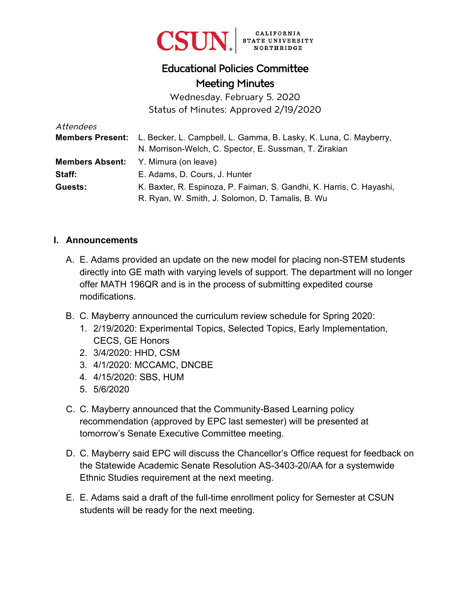

## Educational Policies Committee Meeting Minutes

Wednesday, February 5, 2020 Status of Minutes: Approved 2/19/2020

| Attendees |                                                                                    |
|-----------|------------------------------------------------------------------------------------|
|           | Members Present: L. Becker, L. Campbell, L. Gamma, B. Lasky, K. Luna, C. Mayberry, |
|           | N. Morrison-Welch, C. Spector, E. Sussman, T. Zirakian                             |
|           | <b>Members Absent:</b> Y. Mimura (on leave)                                        |
| Staff:    | E. Adams, D. Cours, J. Hunter                                                      |
| Guests:   | K. Baxter, R. Espinoza, P. Faiman, S. Gandhi, K. Harris, C. Hayashi,               |
|           | R. Ryan, W. Smith, J. Solomon, D. Tamalis, B. Wu                                   |

## **I. Announcements**

- A. E. Adams provided an update on the new model for placing non-STEM students directly into GE math with varying levels of support. The department will no longer offer MATH 196QR and is in the process of submitting expedited course modifications.
- B. C. Mayberry announced the curriculum review schedule for Spring 2020:
	- 1. 2/19/2020: Experimental Topics, Selected Topics, Early Implementation, CECS, GE Honors
	- 2. 3/4/2020: HHD, CSM
	- 3. 4/1/2020: MCCAMC, DNCBE
	- 4. 4/15/2020: SBS, HUM
	- 5. 5/6/2020
- C. C. Mayberry announced that the Community-Based Learning policy recommendation (approved by EPC last semester) will be presented at tomorrow's Senate Executive Committee meeting.
- D. C. Mayberry said EPC will discuss the Chancellor's Office request for feedback on the Statewide Academic Senate Resolution AS-3403-20/AA for a systemwide Ethnic Studies requirement at the next meeting.
- E. E. Adams said a draft of the full-time enrollment policy for Semester at CSUN students will be ready for the next meeting.